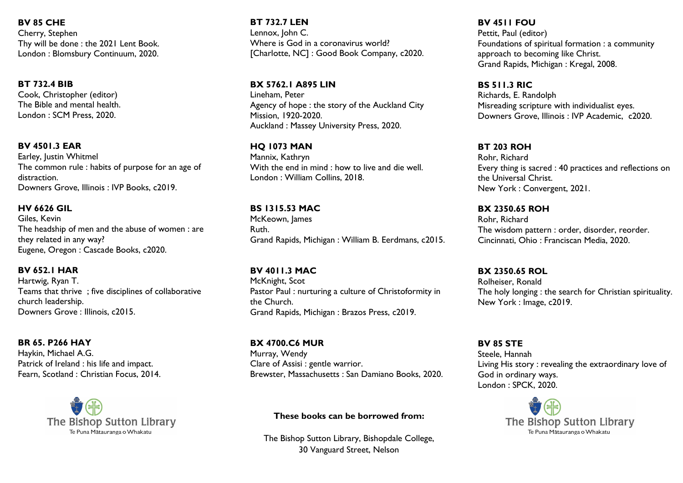**BV 85 CHE** Cherry, Stephen Thy will be done : the 2021 Lent Book. London : Blomsbury Continuum, 2020.

### **BT 732.4 BIB**

Cook, Christopher (editor) The Bible and mental health. London : SCM Press, 2020.

### **BV 4501.3 EAR**

Earley, Justin Whitmel The common rule : habits of purpose for an age of distraction. Downers Grove, Illinois : IVP Books, c2019.

### **HV 6626 GIL**

Giles, Kevin The headship of men and the abuse of women : are they related in any way? Eugene, Oregon : Cascade Books, c2020.

### **BV 652.1 HAR**

Hartwig, Ryan T. Teams that thrive ; five disciplines of collaborative church leadership. Downers Grove : Illinois, c2015.

### **BR 65. P266 HAY**

Haykin, Michael A.G. Patrick of Ireland : his life and impact. Fearn, Scotland : Christian Focus, 2014.



**BT 732.7 LEN** Lennox, John C. Where is God in a coronavirus world? [Charlotte, NC] : Good Book Company, c2020.

### **BX 5762.1 A895 LIN**

Lineham, Peter Agency of hope : the story of the Auckland City Mission, 1920-2020. Auckland : Massey University Press, 2020.

### **HQ 1073 MAN**

Mannix, Kathryn With the end in mind : how to live and die well. London : William Collins, 2018.

### **BS 1315.53 MAC**

McKeown, James Ruth. Grand Rapids, Michigan : William B. Eerdmans, c2015.

#### **BV 4011.3 MAC** McKnight, Scot

Pastor Paul : nurturing a culture of Christoformity in the Church. Grand Rapids, Michigan : Brazos Press, c2019.

### **BX 4700.C6 MUR** Murray, Wendy Clare of Assisi : gentle warrior. Brewster, Massachusetts : San Damiano Books, 2020.

### **These books can be borrowed from:**

The Bishop Sutton Library, Bishopdale College, 30 Vanguard Street, Nelson

## **BV 4511 FOU**

Pettit, Paul (editor) Foundations of spiritual formation : a community approach to becoming like Christ. Grand Rapids, Michigan : Kregal, 2008.

### **BS 511.3 RIC**

Richards, E. Randolph Misreading scripture with individualist eyes. Downers Grove, Illinois : IVP Academic, c2020.

### **BT 203 ROH**

Rohr, Richard Every thing is sacred : 40 practices and reflections on the Universal Christ. New York : Convergent, 2021.

### **BX 2350.65 ROH**

Rohr, Richard The wisdom pattern : order, disorder, reorder. Cincinnati, Ohio : Franciscan Media, 2020.

### **BX 2350.65 ROL**

Rolheiser, Ronald The holy longing : the search for Christian spirituality. New York : Image, c2019.

# **BV 85 STE**

Steele, Hannah Living His story : revealing the extraordinary love of God in ordinary ways. London : SPCK, 2020.